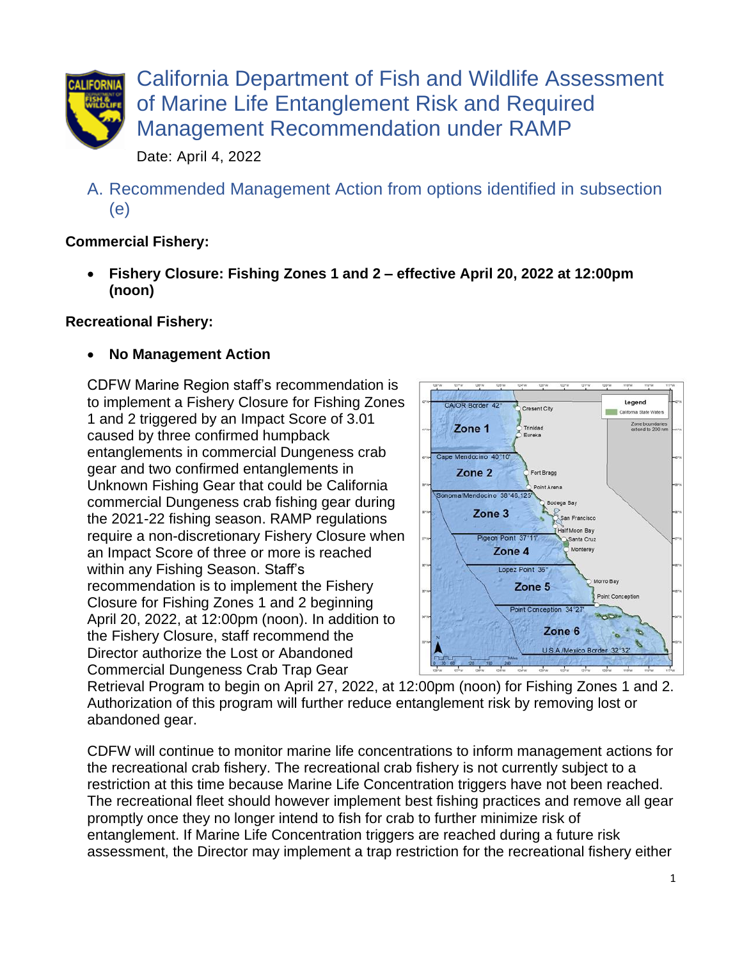

California Department of Fish and Wildlife Assessment of Marine Life Entanglement Risk and Required Management Recommendation under RAMP

Date: April 4, 2022

A. Recommended Management Action from options identified in subsection (e)

## **Commercial Fishery:**

• **Fishery Closure: Fishing Zones 1 and 2 – effective April 20, 2022 at 12:00pm (noon)**

## **Recreational Fishery:**

• **No Management Action** 

CDFW Marine Region staff's recommendation is to implement a Fishery Closure for Fishing Zones 1 and 2 triggered by an Impact Score of 3.01 caused by three confirmed humpback entanglements in commercial Dungeness crab gear and two confirmed entanglements in Unknown Fishing Gear that could be California commercial Dungeness crab fishing gear during the 2021-22 fishing season. RAMP regulations require a non-discretionary Fishery Closure when an Impact Score of three or more is reached within any Fishing Season. Staff's recommendation is to implement the Fishery Closure for Fishing Zones 1 and 2 beginning April 20, 2022, at 12:00pm (noon). In addition to the Fishery Closure, staff recommend the Director authorize the Lost or Abandoned Commercial Dungeness Crab Trap Gear



Retrieval Program to begin on April 27, 2022, at 12:00pm (noon) for Fishing Zones 1 and 2. Authorization of this program will further reduce entanglement risk by removing lost or abandoned gear.

CDFW will continue to monitor marine life concentrations to inform management actions for the recreational crab fishery. The recreational crab fishery is not currently subject to a restriction at this time because Marine Life Concentration triggers have not been reached. The recreational fleet should however implement [best fishing practices](https://nrm.dfg.ca.gov/FileHandler.ashx?DocumentID=195428&inline) and remove all gear promptly once they no longer intend to fish for crab to further minimize risk of entanglement. If Marine Life Concentration triggers are reached during a future risk assessment, the Director may implement a trap restriction for the recreational fishery either